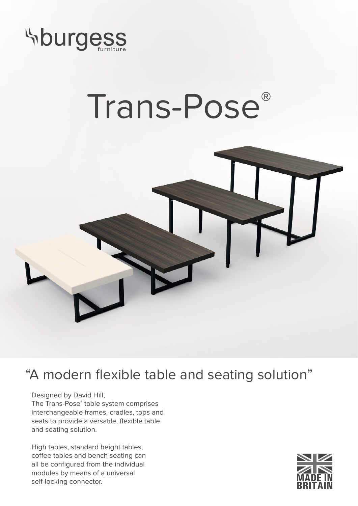

## Trans-Pose®



## "A modern flexible table and seating solution"

Designed by David Hill,

The Trans-Pose® table system comprises interchangeable frames, cradles, tops and seats to provide a versatile, flexible table and seating solution.

High tables, standard height tables, coffee tables and bench seating can all be configured from the individual modules by means of a universal self-locking connector.